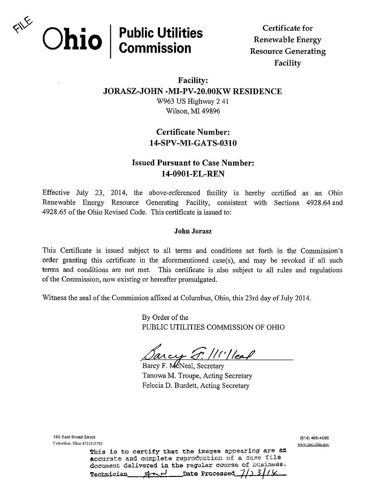

Certificate for Renewable Energy Resource Generating Facility

## Facility: JORASZ-JOHN -MI-PV-20.00KW RESIDENCE W963 US Highway 2 41 Wilson, MI 49896

# Certificate Number: 14-SPV-MI-GATS-0310

## **Issued Pursuant to Case Number:** 14-0901-EL-REN

Effective July 23, 2014, the above-referenced facility is hereby certified as an Ohio Renewable Energy Resource Generating Facility, consistent with Sections 4928.64 and 4928.65 of the Ohio Revised Code. This certificate is issued to:

### John Jorasz

This Certificate is issued subject to all terms and conditions set forth in the Commission's order granting this certificate in the aforementioned case(s), and may be revoked if all such terms and conditions are not met. This certificate is also subject to all rules and regulations of the Commission, now existing or hereafter promulgated.

Witness the seal of the Commission affixed at Columbus, Ohio, this 23rd day of July 2014.

By Order of the PUBLIC UTILITIES COMMISSION OF OHIO

1. / 1' | leaf  $arcs <$ 

Barcy F. McNeal, Secretary Tanowa M. Troupe, Acting Secretary Felecia D. Burdett, Acting Secretary

180 East Broad Street Columbus- Ohio 452 l5-379.> This is to certify that the images appearing are an accurate and complete reproduction of a case file document delivered in the regular courae of business.  $\not\in$  $\mathcal{A}$  $\sim$  $\mathcal{A}$  **Date Processed**  $\mathcal{J}$ 

(614) 466-4095 www.puc.ohio.gov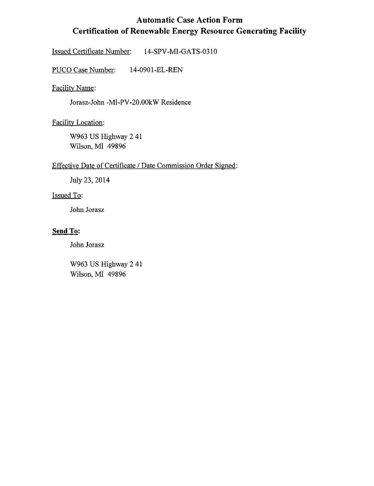# Automatic Case Action Form Certification of Renewable Energy Resource Generating Facility

Issued Certificate Number: 14-SPV-MI-GATS-0310

PUCO Case Number: 14-0901-EL-REN

Facilitv Name:

Jorasz-John -MI-PV-20.00kW Residence

Facilitv Location:

W963 US Highway 2 41 Wilson, MI 49896

#### Effective Date of Certificate / Date Commission Order Signed:

July 23, 2014

### Issued To:

John Jorasz

## Send To:

John Jorasz

W963 US Highway 2 41 Wilson, MI 49896